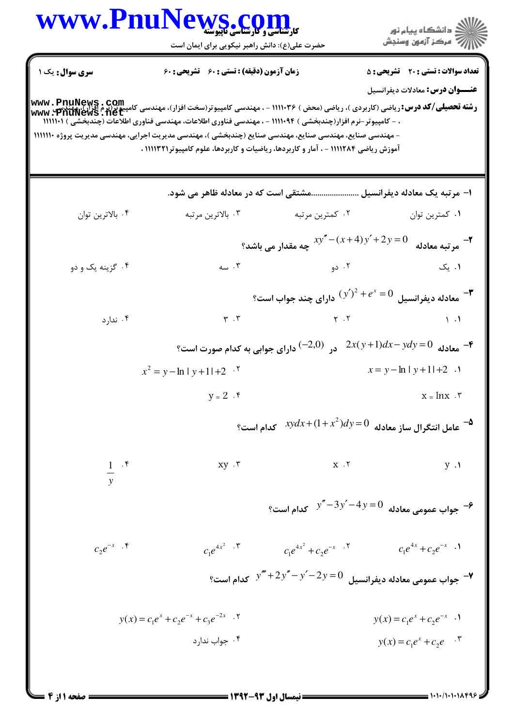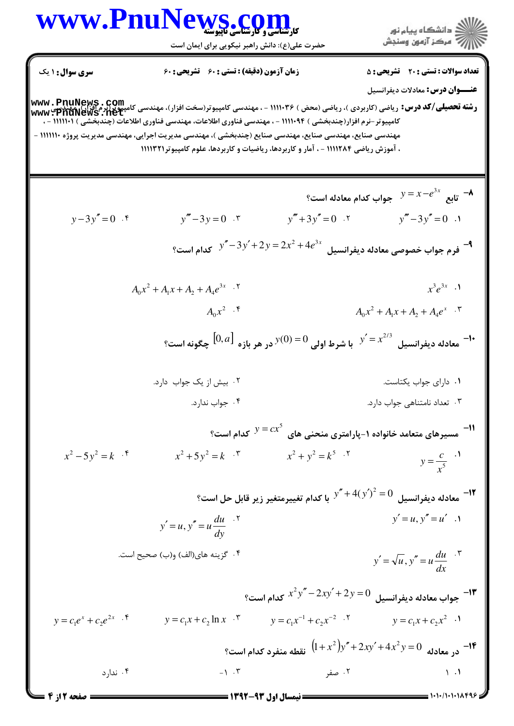## كارشناسي و كارشناسي ناپيوسته **[www.PnuNews.com](http://www.PnuNews.com)**

ے<br>کا اللہ کا استگاہ پیام نور<br>کا اللہ میکز آزمون وسنجش

حضرت علي(ع): دانش راهبر نيكويي براي ايمان است

ق脱اد ویا ہی: 1. بیلی سی 1.4  
\n
$$
WW = \text{PMDMeyg, GOM}
$$
\n
$$
WW = \text{PMDMeyg, GOM}
$$
\n
$$
WW = \text{PMDMeyg, GOM}
$$
\n
$$
WW = \text{PMDMeyg, GOM}
$$
\n
$$
W = \text{PMDMeyg, GOM}
$$
\n
$$
W = \text{PMDMeyg, GOM}
$$
\n
$$
W = \text{PMDMeyg, GOM}
$$
\n
$$
W = \text{PMDMeyg, GOM}
$$
\n
$$
W = \text{PMDMeyg, GOM}
$$
\n
$$
W = \text{PMDMeyg, GOM}
$$
\n
$$
W = \text{PMDMeyg, GOM}
$$
\n
$$
W = \text{PMDMeyg, GOM}
$$
\n
$$
W = \text{PMDMeyg, GOM}
$$
\n
$$
W = \text{PMDMeyg, GOM}
$$
\n
$$
W = \text{PMDMeyg, GOM}
$$
\n
$$
W = \text{PMDMeyg, GOM}
$$
\n
$$
W = \text{PMDMeyg, GOM}
$$
\n
$$
W = \text{PMDMeyg, GOM}
$$
\n
$$
W = \text{PMDMeyg, GOM}
$$
\n
$$
W = \text{PMDMeyg, GOM}
$$
\n
$$
W = \text{PMDMeyg, GOM}
$$
\n
$$
W = \text{PMDMeyg, GOM}
$$
\n
$$
W = \text{PMDMeyg, GOM}
$$
\n
$$
W = \text{PMDMeyg, GOM}
$$
\n
$$
W = \text{PMDMeyg, GOM}
$$
\n
$$
W = \text{PMDMeyg, GOM}
$$
\n
$$
W = \text{PMDMeyg, GOM}
$$
\n
$$
W = \text{PMDMeyg, GOM}
$$
\n
$$
W = \text{PMDMeyg, GOM}
$$
\n
$$
W = \text{PMDMeyg, GOM}
$$
\n
$$
W = \text{PMDMeyg, GOM}
$$
\n
$$
W = \text{PMDMeyg, GOM}
$$

(=<K%(%(/%(%(% نيمسال اول 1392-93 صفحه 2 از 4